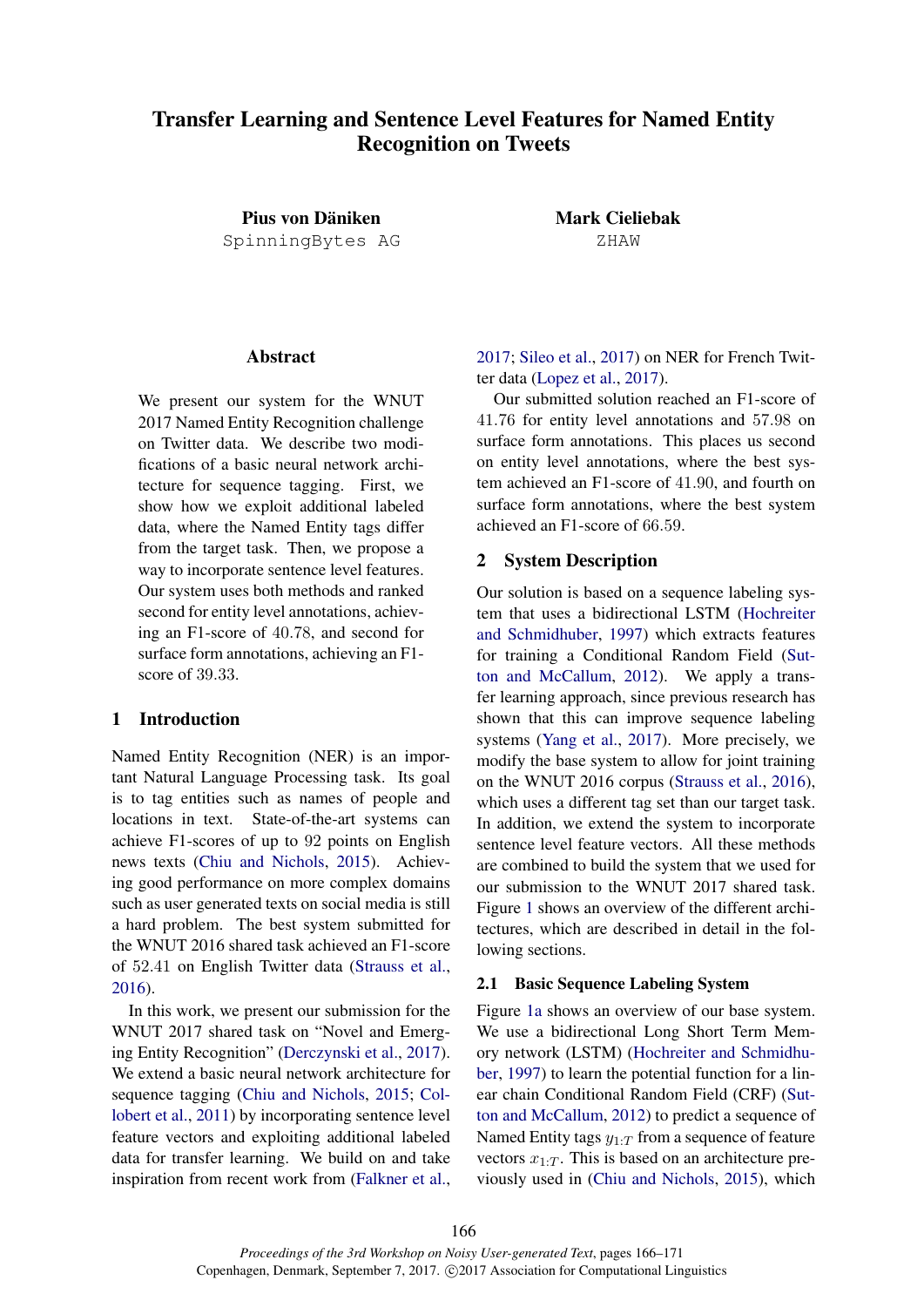# Transfer Learning and Sentence Level Features for Named Entity Recognition on Tweets

Pius von Däniken SpinningBytes AG Mark Cieliebak ZHAW

## Abstract

We present our system for the WNUT 2017 Named Entity Recognition challenge on Twitter data. We describe two modifications of a basic neural network architecture for sequence tagging. First, we show how we exploit additional labeled data, where the Named Entity tags differ from the target task. Then, we propose a way to incorporate sentence level features. Our system uses both methods and ranked second for entity level annotations, achieving an F1-score of 40.78, and second for surface form annotations, achieving an F1 score of 39.33.

### 1 Introduction

Named Entity Recognition (NER) is an important Natural Language Processing task. Its goal is to tag entities such as names of people and locations in text. State-of-the-art systems can achieve F1-scores of up to 92 points on English news texts (Chiu and Nichols, 2015). Achieving good performance on more complex domains such as user generated texts on social media is still a hard problem. The best system submitted for the WNUT 2016 shared task achieved an F1-score of 52.41 on English Twitter data (Strauss et al., 2016).

In this work, we present our submission for the WNUT 2017 shared task on "Novel and Emerging Entity Recognition" (Derczynski et al., 2017). We extend a basic neural network architecture for sequence tagging (Chiu and Nichols, 2015; Collobert et al., 2011) by incorporating sentence level feature vectors and exploiting additional labeled data for transfer learning. We build on and take inspiration from recent work from (Falkner et al., 2017; Sileo et al., 2017) on NER for French Twitter data (Lopez et al., 2017).

Our submitted solution reached an F1-score of 41.76 for entity level annotations and 57.98 on surface form annotations. This places us second on entity level annotations, where the best system achieved an F1-score of 41.90, and fourth on surface form annotations, where the best system achieved an F1-score of 66.59.

#### 2 System Description

Our solution is based on a sequence labeling system that uses a bidirectional LSTM (Hochreiter and Schmidhuber, 1997) which extracts features for training a Conditional Random Field (Sutton and McCallum, 2012). We apply a transfer learning approach, since previous research has shown that this can improve sequence labeling systems (Yang et al., 2017). More precisely, we modify the base system to allow for joint training on the WNUT 2016 corpus (Strauss et al., 2016), which uses a different tag set than our target task. In addition, we extend the system to incorporate sentence level feature vectors. All these methods are combined to build the system that we used for our submission to the WNUT 2017 shared task. Figure 1 shows an overview of the different architectures, which are described in detail in the following sections.

#### 2.1 Basic Sequence Labeling System

Figure 1a shows an overview of our base system. We use a bidirectional Long Short Term Memory network (LSTM) (Hochreiter and Schmidhuber, 1997) to learn the potential function for a linear chain Conditional Random Field (CRF) (Sutton and McCallum, 2012) to predict a sequence of Named Entity tags  $y_{1:T}$  from a sequence of feature vectors  $x_{1:T}$ . This is based on an architecture previously used in (Chiu and Nichols, 2015), which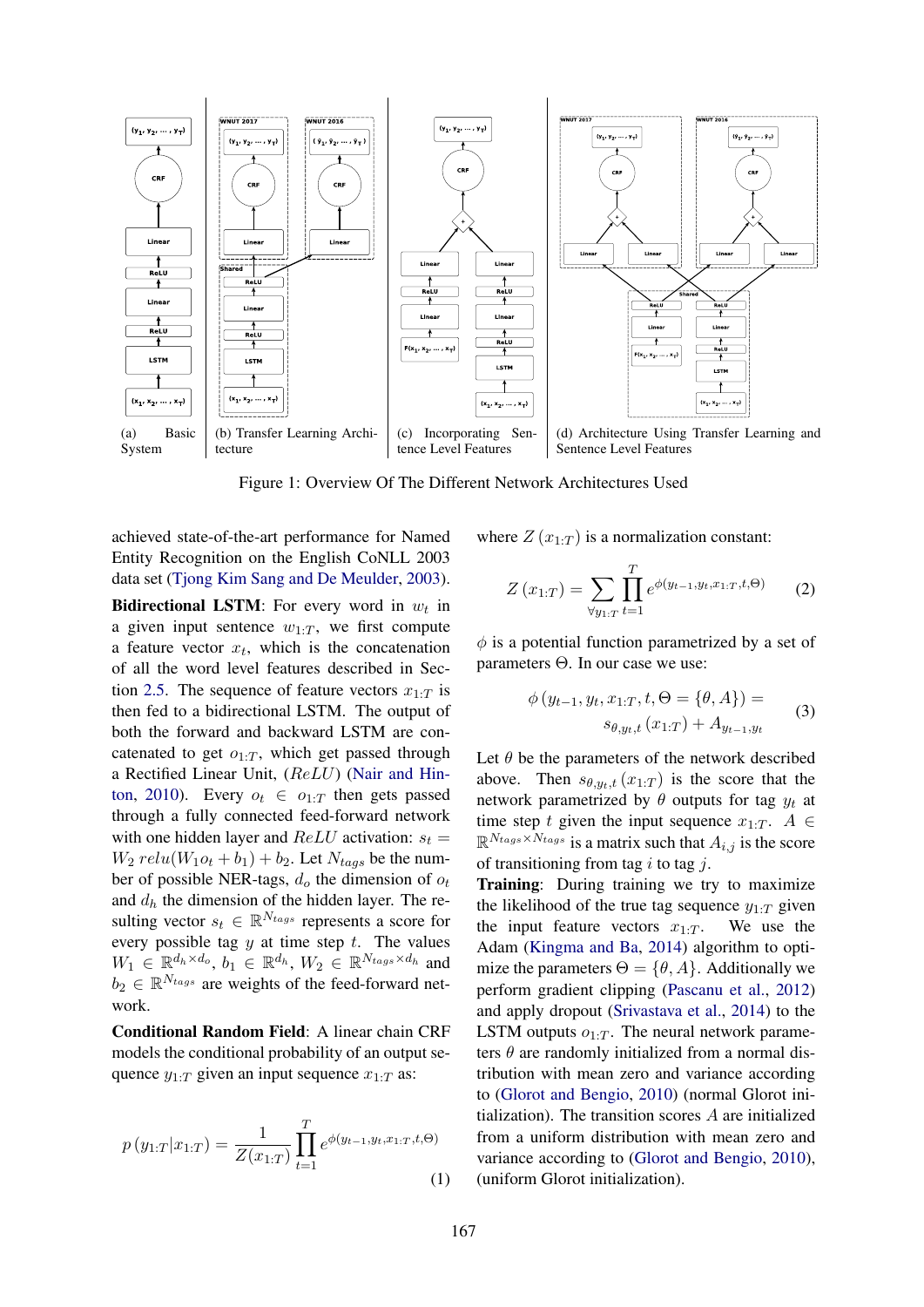

Figure 1: Overview Of The Different Network Architectures Used

achieved state-of-the-art performance for Named Entity Recognition on the English CoNLL 2003 data set (Tjong Kim Sang and De Meulder, 2003).

**Bidirectional LSTM**: For every word in  $w_t$  in a given input sentence  $w_{1:T}$ , we first compute a feature vector  $x_t$ , which is the concatenation of all the word level features described in Section 2.5. The sequence of feature vectors  $x_{1:T}$  is then fed to a bidirectional LSTM. The output of both the forward and backward LSTM are concatenated to get  $o_{1:T}$ , which get passed through a Rectified Linear Unit, (ReLU) (Nair and Hinton, 2010). Every  $o_t \in o_{1:T}$  then gets passed through a fully connected feed-forward network with one hidden layer and  $ReLU$  activation:  $s_t =$  $W_2$  relu( $W_1o_t + b_1$ ) +  $b_2$ . Let  $N_{tags}$  be the number of possible NER-tags,  $d_o$  the dimension of  $o_t$ and  $d_h$  the dimension of the hidden layer. The resulting vector  $s_t \in \mathbb{R}^{N_{tags}}$  represents a score for every possible tag  $y$  at time step  $t$ . The values  $W_1 \in \mathbb{R}^{d_h \times d_o}$ ,  $b_1 \in \mathbb{R}^{d_h}$ ,  $W_2 \in \mathbb{R}^{N_{tags} \times d_h}$  and  $b_2 \in \mathbb{R}^{N_{tags}}$  are weights of the feed-forward network.

Conditional Random Field: A linear chain CRF models the conditional probability of an output sequence  $y_{1:T}$  given an input sequence  $x_{1:T}$  as:

$$
p(y_{1:T}|x_{1:T}) = \frac{1}{Z(x_{1:T})} \prod_{t=1}^{T} e^{\phi(y_{t-1}, y_t, x_{1:T}, t, \Theta)}
$$
\n(1)

where  $Z(x_{1:T})$  is a normalization constant:

$$
Z(x_{1:T}) = \sum_{\forall y_{1:T}} \prod_{t=1}^{T} e^{\phi(y_{t-1}, y_t, x_{1:T}, t, \Theta)} \qquad (2)
$$

 $\phi$  is a potential function parametrized by a set of parameters Θ. In our case we use:

$$
\phi(y_{t-1}, y_t, x_{1:T}, t, \Theta = {\theta, A}) =
$$
  

$$
s_{\theta, y_t, t} (x_{1:T}) + A_{y_{t-1}, y_t}
$$
 (3)

Let  $\theta$  be the parameters of the network described above. Then  $s_{\theta,y_t,t}(x_{1:T})$  is the score that the network parametrized by  $\theta$  outputs for tag  $y_t$  at time step t given the input sequence  $x_{1:T}$ .  $A \in$  $\mathbb{R}^{N_{tags} \times N_{tags}}$  is a matrix such that  $A_{i,j}$  is the score of transitioning from tag i to tag j.

Training: During training we try to maximize the likelihood of the true tag sequence  $y_{1:T}$  given the input feature vectors  $x_1 \cdot T$ . We use the Adam (Kingma and Ba, 2014) algorithm to optimize the parameters  $\Theta = \{\theta, A\}$ . Additionally we perform gradient clipping (Pascanu et al., 2012) and apply dropout (Srivastava et al., 2014) to the LSTM outputs  $o_1 \tau$ . The neural network parameters  $\theta$  are randomly initialized from a normal distribution with mean zero and variance according to (Glorot and Bengio, 2010) (normal Glorot initialization). The transition scores A are initialized from a uniform distribution with mean zero and variance according to (Glorot and Bengio, 2010), (uniform Glorot initialization).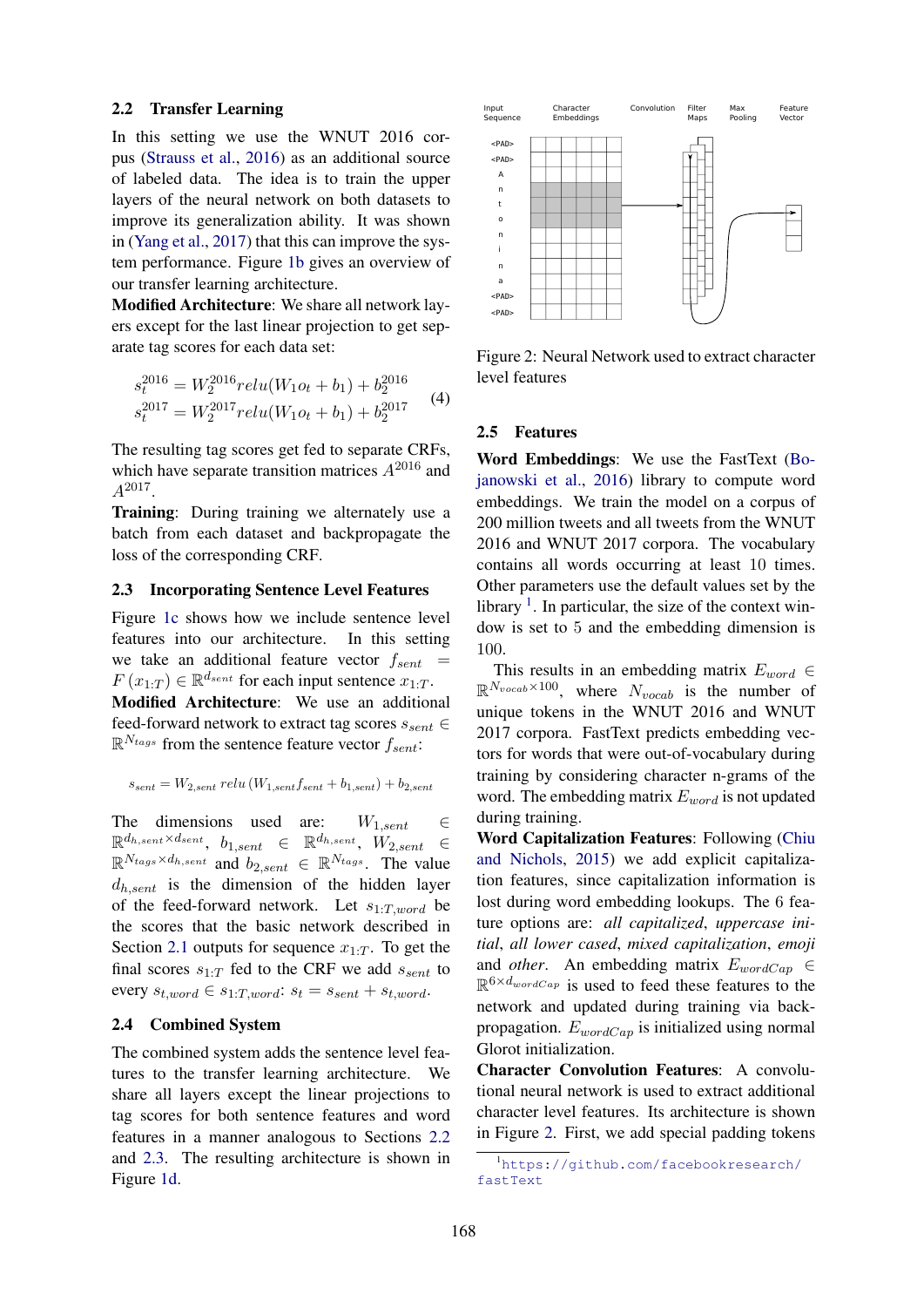#### 2.2 Transfer Learning

In this setting we use the WNUT 2016 corpus (Strauss et al., 2016) as an additional source of labeled data. The idea is to train the upper layers of the neural network on both datasets to improve its generalization ability. It was shown in (Yang et al., 2017) that this can improve the system performance. Figure 1b gives an overview of our transfer learning architecture.

Modified Architecture: We share all network layers except for the last linear projection to get separate tag scores for each data set:

$$
s_t^{2016} = W_2^{2016} relu(W_1o_t + b_1) + b_2^{2016}
$$
  
\n
$$
s_t^{2017} = W_2^{2017} relu(W_1o_t + b_1) + b_2^{2017}
$$
 (4)

The resulting tag scores get fed to separate CRFs, which have separate transition matrices  $A^{2016}$  and  $A^{2017}$ .

Training: During training we alternately use a batch from each dataset and backpropagate the loss of the corresponding CRF.

#### 2.3 Incorporating Sentence Level Features

Figure 1c shows how we include sentence level features into our architecture. In this setting we take an additional feature vector  $f_{sent}$  =  $F(x_{1:T}) \in \mathbb{R}^{d_{sent}}$  for each input sentence  $x_{1:T}$ . Modified Architecture: We use an additional feed-forward network to extract tag scores  $s_{sent} \in$  $\mathbb{R}^{N_{tags}}$  from the sentence feature vector  $f_{sent}$ :

$$
s_{sent} = W_{2,sent} \, relu \, (W_{1,sent} f_{sent} + b_{1,sent}) + b_{2,sent}
$$

The dimensions used are:  $W_{1,sent} \in$  $\mathbb{R}^{d_h, \textit{sent}} \times^{d_{sent}}, \; b_{1, sent} \; \in \; \mathbb{R}^{d_h, \textit{sent}}, \; W_{2, sent} \; \in$  $\mathbb{R}^{N_{tags} \times d_{h,sent}}$  and  $b_{2,sent} \in \mathbb{R}^{N_{tags}}$ . The value  $d_{h, sent}$  is the dimension of the hidden layer of the feed-forward network. Let  $s_{1:T,word}$  be the scores that the basic network described in Section 2.1 outputs for sequence  $x_{1:T}$ . To get the final scores  $s_{1:T}$  fed to the CRF we add  $s_{sent}$  to every  $s_{t,word} \in s_{1:T,word}$ :  $s_t = s_{sent} + s_{t,word}$ .

#### 2.4 Combined System

The combined system adds the sentence level features to the transfer learning architecture. We share all layers except the linear projections to tag scores for both sentence features and word features in a manner analogous to Sections 2.2 and 2.3. The resulting architecture is shown in Figure 1d.



Figure 2: Neural Network used to extract character level features

### 2.5 Features

Word Embeddings: We use the FastText (Bojanowski et al., 2016) library to compute word embeddings. We train the model on a corpus of 200 million tweets and all tweets from the WNUT 2016 and WNUT 2017 corpora. The vocabulary contains all words occurring at least 10 times. Other parameters use the default values set by the library  $<sup>1</sup>$ . In particular, the size of the context win-</sup> dow is set to 5 and the embedding dimension is 100.

This results in an embedding matrix  $E_{word} \in$  $\mathbb{R}^{N_{vocab}\times 100}$ , where  $N_{vocab}$  is the number of unique tokens in the WNUT 2016 and WNUT 2017 corpora. FastText predicts embedding vectors for words that were out-of-vocabulary during training by considering character n-grams of the word. The embedding matrix  $E_{word}$  is not updated during training.

Word Capitalization Features: Following (Chiu and Nichols, 2015) we add explicit capitalization features, since capitalization information is lost during word embedding lookups. The 6 feature options are: *all capitalized*, *uppercase initial*, *all lower cased*, *mixed capitalization*, *emoji* and *other*. An embedding matrix  $E_{wordCap} \in$  $\mathbb{R}^{6 \times d_{wordCap}}$  is used to feed these features to the network and updated during training via backpropagation.  $E_{wordCap}$  is initialized using normal Glorot initialization.

Character Convolution Features: A convolutional neural network is used to extract additional character level features. Its architecture is shown in Figure 2. First, we add special padding tokens

<sup>1</sup>https://github.com/facebookresearch/ fastText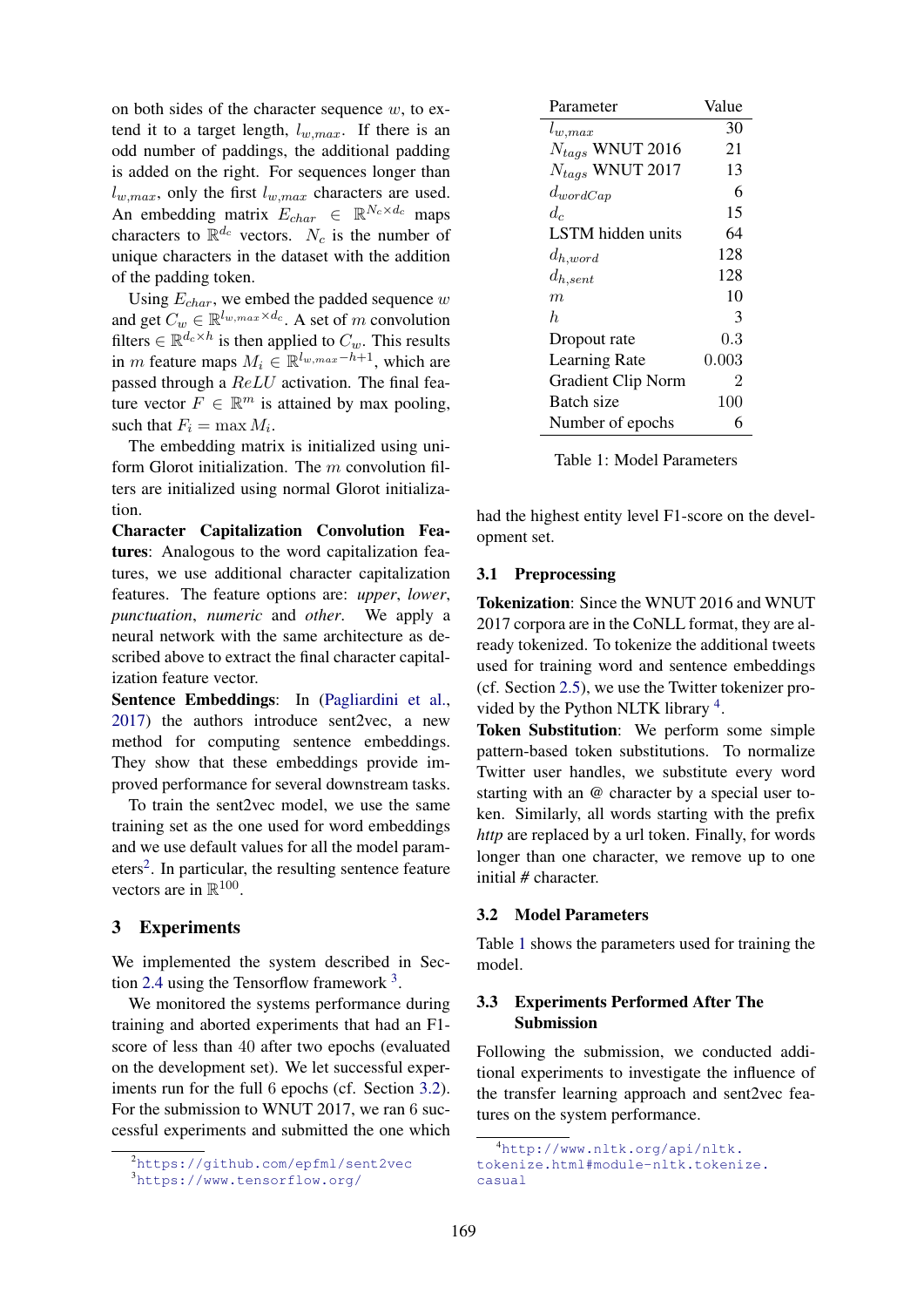on both sides of the character sequence  $w$ , to extend it to a target length,  $l_{w,max}$ . If there is an odd number of paddings, the additional padding is added on the right. For sequences longer than  $l_{w,max}$ , only the first  $l_{w,max}$  characters are used. An embedding matrix  $E_{char} \in \mathbb{R}^{N_c \times d_c}$  maps characters to  $\mathbb{R}^{d_c}$  vectors.  $N_c$  is the number of unique characters in the dataset with the addition of the padding token.

Using  $E_{char}$ , we embed the padded sequence w and get  $C_w \in \mathbb{R}^{l_w, max \times d_c}$ . A set of m convolution filters  $\in \mathbb{R}^{d_c \times h}$  is then applied to  $C_w$ . This results in *m* feature maps  $M_i \in \mathbb{R}^{\{w,\max-h+1\}}$ , which are passed through a ReLU activation. The final feature vector  $F \in \mathbb{R}^m$  is attained by max pooling, such that  $F_i = \max M_i$ .

The embedding matrix is initialized using uniform Glorot initialization. The  $m$  convolution filters are initialized using normal Glorot initialization.

Character Capitalization Convolution Features: Analogous to the word capitalization features, we use additional character capitalization features. The feature options are: *upper*, *lower*, *punctuation*, *numeric* and *other*. We apply a neural network with the same architecture as described above to extract the final character capitalization feature vector.

Sentence Embeddings: In (Pagliardini et al., 2017) the authors introduce sent2vec, a new method for computing sentence embeddings. They show that these embeddings provide improved performance for several downstream tasks.

To train the sent2vec model, we use the same training set as the one used for word embeddings and we use default values for all the model parameters<sup>2</sup>. In particular, the resulting sentence feature vectors are in  $\mathbb{R}^{100}$ .

# 3 Experiments

We implemented the system described in Section 2.4 using the Tensorflow framework  $3$ .

We monitored the systems performance during training and aborted experiments that had an F1 score of less than 40 after two epochs (evaluated on the development set). We let successful experiments run for the full 6 epochs (cf. Section 3.2). For the submission to WNUT 2017, we ran 6 successful experiments and submitted the one which

| Parameter                 | Value       |
|---------------------------|-------------|
| $l_{w,max}$               | 30          |
| $N_{tags}$ WNUT 2016      | 21          |
| $N_{tags}$ WNUT 2017      | 13          |
| $d_{wordCap}$             | 6           |
| $d_c$                     | 15          |
| LSTM hidden units         | 64          |
| $d_{h, word}$             | 128         |
| $d_{h,sent}$              | 128         |
| m                         | 10          |
| h.                        | 3           |
| Dropout rate              | 0.3         |
| <b>Learning Rate</b>      | $\,0.003\,$ |
| <b>Gradient Clip Norm</b> | 2           |
| Batch size                | 100         |
| Number of epochs          | 6           |

Table 1: Model Parameters

had the highest entity level F1-score on the development set.

#### 3.1 Preprocessing

Tokenization: Since the WNUT 2016 and WNUT 2017 corpora are in the CoNLL format, they are already tokenized. To tokenize the additional tweets used for training word and sentence embeddings (cf. Section 2.5), we use the Twitter tokenizer provided by the Python NLTK library<sup>4</sup>.

Token Substitution: We perform some simple pattern-based token substitutions. To normalize Twitter user handles, we substitute every word starting with an *@* character by a special user token. Similarly, all words starting with the prefix *http* are replaced by a url token. Finally, for words longer than one character, we remove up to one initial *#* character.

#### 3.2 Model Parameters

Table 1 shows the parameters used for training the model.

## 3.3 Experiments Performed After The Submission

Following the submission, we conducted additional experiments to investigate the influence of the transfer learning approach and sent2vec features on the system performance.

<sup>2</sup>https://github.com/epfml/sent2vec

<sup>3</sup>https://www.tensorflow.org/

<sup>4</sup>http://www.nltk.org/api/nltk. tokenize.html#module-nltk.tokenize. casual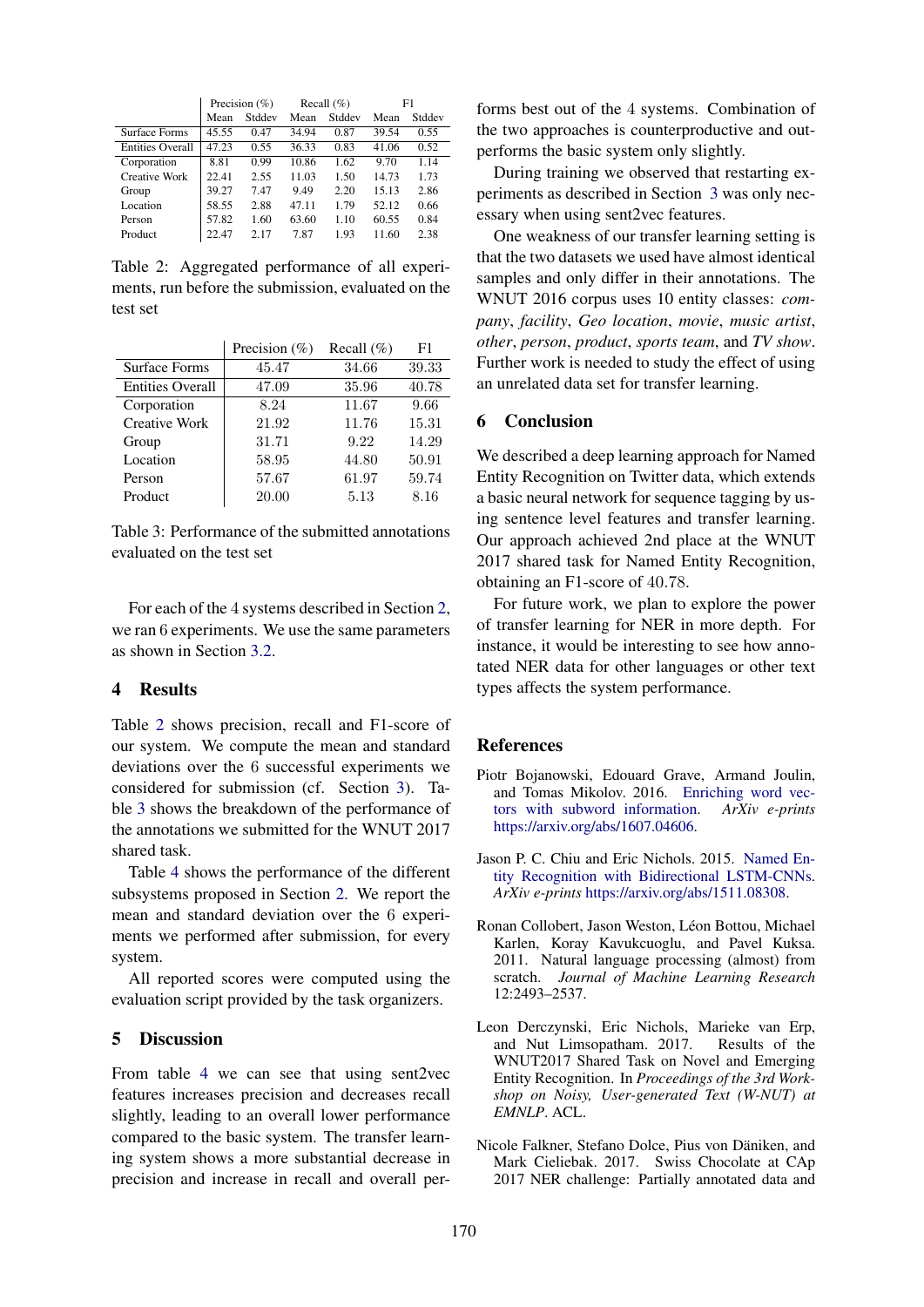|                         |                | Precision $(\% )$ |                | Recall $(\% )$ | F1    |        |  |
|-------------------------|----------------|-------------------|----------------|----------------|-------|--------|--|
|                         | Stddev<br>Mean |                   | Stddev<br>Mean |                | Mean  | Stddev |  |
| Surface Forms           | 45.55          | 0.47              | 34.94          | 0.87           | 39.54 | 0.55   |  |
| <b>Entities Overall</b> | 47.23          | 0.55              | 36.33          | 0.83           | 41.06 | 0.52   |  |
| Corporation             | 8.81           | 0.99              | 10.86          | 1.62           | 9.70  | 1.14   |  |
| Creative Work           | 22.41          | 2.55              | 11.03          | 1.50           | 14.73 | 1.73   |  |
| Group                   | 39.27          | 7.47              | 9.49           | 2.20           | 15.13 | 2.86   |  |
| Location                | 58.55          | 2.88              | 47.11          | 1.79           | 52.12 | 0.66   |  |
| Person                  | 57.82          | 1.60              | 63.60          | 1.10           | 60.55 | 0.84   |  |
| Product                 | 22.47          | 2.17              | 7.87           | 1.93           | 11.60 | 2.38   |  |

Table 2: Aggregated performance of all experiments, run before the submission, evaluated on the test set

|                         | Precision $(\%)$ | Recall $(\%)$ | F1    |
|-------------------------|------------------|---------------|-------|
| Surface Forms           | 45.47            | 34.66         | 39.33 |
| <b>Entities Overall</b> | 47.09            | 35.96         | 40.78 |
| Corporation             | 8.24             | 11.67         | 9.66  |
| <b>Creative Work</b>    | 21.92            | 11.76         | 15.31 |
| Group                   | 31.71            | 9.22          | 14.29 |
| Location                | 58.95            | 44.80         | 50.91 |
| Person                  | 57.67            | 61.97         | 59.74 |
| Product                 | 20.00            | 5.13          | 8.16  |

Table 3: Performance of the submitted annotations evaluated on the test set

For each of the 4 systems described in Section 2, we ran 6 experiments. We use the same parameters as shown in Section 3.2.

## 4 Results

Table 2 shows precision, recall and F1-score of our system. We compute the mean and standard deviations over the 6 successful experiments we considered for submission (cf. Section 3). Table 3 shows the breakdown of the performance of the annotations we submitted for the WNUT 2017 shared task.

Table 4 shows the performance of the different subsystems proposed in Section 2. We report the mean and standard deviation over the 6 experiments we performed after submission, for every system.

All reported scores were computed using the evaluation script provided by the task organizers.

## 5 Discussion

From table 4 we can see that using sent2vec features increases precision and decreases recall slightly, leading to an overall lower performance compared to the basic system. The transfer learning system shows a more substantial decrease in precision and increase in recall and overall per-

forms best out of the 4 systems. Combination of the two approaches is counterproductive and outperforms the basic system only slightly.

During training we observed that restarting experiments as described in Section 3 was only necessary when using sent2vec features.

One weakness of our transfer learning setting is that the two datasets we used have almost identical samples and only differ in their annotations. The WNUT 2016 corpus uses 10 entity classes: *company*, *facility*, *Geo location*, *movie*, *music artist*, *other*, *person*, *product*, *sports team*, and *TV show*. Further work is needed to study the effect of using an unrelated data set for transfer learning.

#### 6 Conclusion

We described a deep learning approach for Named Entity Recognition on Twitter data, which extends a basic neural network for sequence tagging by using sentence level features and transfer learning. Our approach achieved 2nd place at the WNUT 2017 shared task for Named Entity Recognition, obtaining an F1-score of 40.78.

For future work, we plan to explore the power of transfer learning for NER in more depth. For instance, it would be interesting to see how annotated NER data for other languages or other text types affects the system performance.

# **References**

- Piotr Bojanowski, Edouard Grave, Armand Joulin, and Tomas Mikolov. 2016. Enriching word vectors with subword information. *ArXiv e-prints* https://arxiv.org/abs/1607.04606.
- Jason P. C. Chiu and Eric Nichols. 2015. Named Entity Recognition with Bidirectional LSTM-CNNs. *ArXiv e-prints* https://arxiv.org/abs/1511.08308.
- Ronan Collobert, Jason Weston, Léon Bottou, Michael Karlen, Koray Kavukcuoglu, and Pavel Kuksa. 2011. Natural language processing (almost) from scratch. *Journal of Machine Learning Research* 12:2493–2537.
- Leon Derczynski, Eric Nichols, Marieke van Erp, and Nut Limsopatham. 2017. Results of the WNUT2017 Shared Task on Novel and Emerging Entity Recognition. In *Proceedings of the 3rd Workshop on Noisy, User-generated Text (W-NUT) at EMNLP*. ACL.
- Nicole Falkner, Stefano Dolce, Pius von Däniken, and Mark Cieliebak. 2017. Swiss Chocolate at CAp 2017 NER challenge: Partially annotated data and